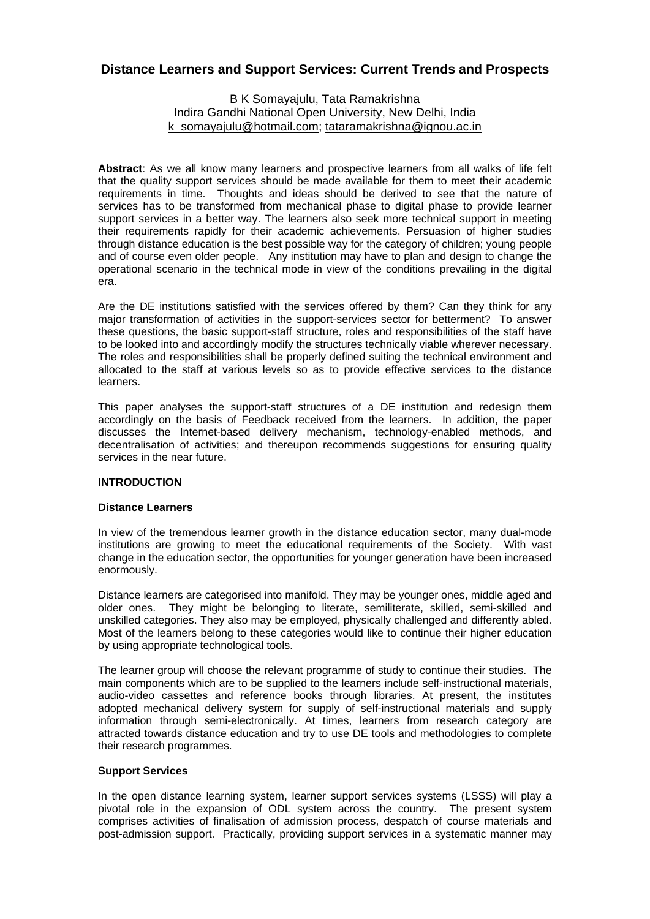# **Distance Learners and Support Services: Current Trends and Prospects**

### B K Somayajulu, Tata Ramakrishna Indira Gandhi National Open University, New Delhi, India k\_somayajulu@hotmail.com; tataramakrishna@ignou.ac.in

**Abstract**: As we all know many learners and prospective learners from all walks of life felt that the quality support services should be made available for them to meet their academic requirements in time. Thoughts and ideas should be derived to see that the nature of services has to be transformed from mechanical phase to digital phase to provide learner support services in a better way. The learners also seek more technical support in meeting their requirements rapidly for their academic achievements. Persuasion of higher studies through distance education is the best possible way for the category of children; young people and of course even older people. Any institution may have to plan and design to change the operational scenario in the technical mode in view of the conditions prevailing in the digital era.

Are the DE institutions satisfied with the services offered by them? Can they think for any major transformation of activities in the support-services sector for betterment? To answer these questions, the basic support-staff structure, roles and responsibilities of the staff have to be looked into and accordingly modify the structures technically viable wherever necessary. The roles and responsibilities shall be properly defined suiting the technical environment and allocated to the staff at various levels so as to provide effective services to the distance learners.

This paper analyses the support-staff structures of a DE institution and redesign them accordingly on the basis of Feedback received from the learners. In addition, the paper discusses the Internet-based delivery mechanism, technology-enabled methods, and decentralisation of activities; and thereupon recommends suggestions for ensuring quality services in the near future.

### **INTRODUCTION**

#### **Distance Learners**

In view of the tremendous learner growth in the distance education sector, many dual-mode institutions are growing to meet the educational requirements of the Society. With vast change in the education sector, the opportunities for younger generation have been increased enormously.

Distance learners are categorised into manifold. They may be younger ones, middle aged and older ones. They might be belonging to literate, semiliterate, skilled, semi-skilled and unskilled categories. They also may be employed, physically challenged and differently abled. Most of the learners belong to these categories would like to continue their higher education by using appropriate technological tools.

The learner group will choose the relevant programme of study to continue their studies. The main components which are to be supplied to the learners include self-instructional materials, audio-video cassettes and reference books through libraries. At present, the institutes adopted mechanical delivery system for supply of self-instructional materials and supply information through semi-electronically. At times, learners from research category are attracted towards distance education and try to use DE tools and methodologies to complete their research programmes.

#### **Support Services**

In the open distance learning system, learner support services systems (LSSS) will play a pivotal role in the expansion of ODL system across the country. The present system comprises activities of finalisation of admission process, despatch of course materials and post-admission support. Practically, providing support services in a systematic manner may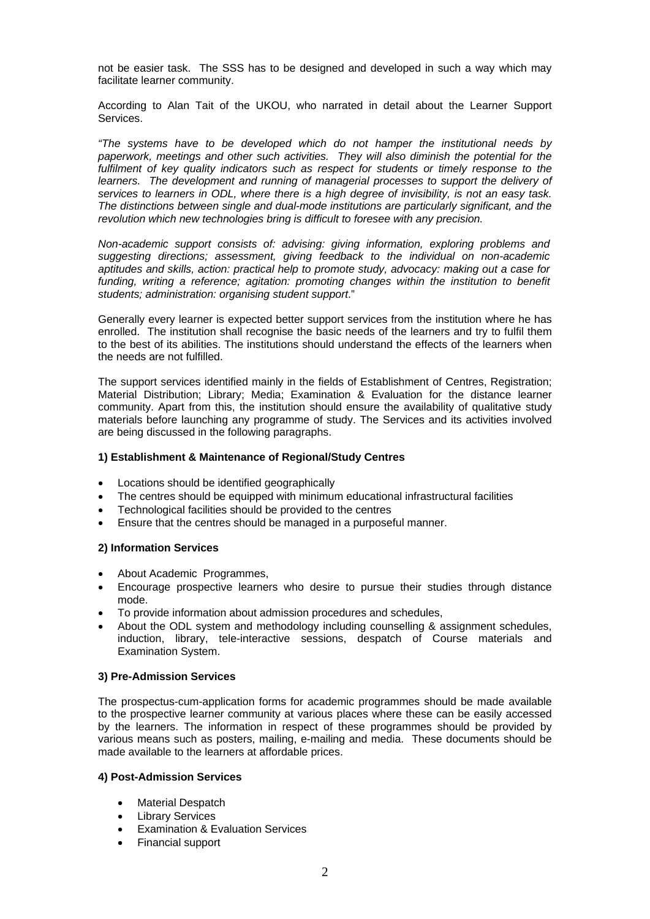not be easier task. The SSS has to be designed and developed in such a way which may facilitate learner community.

According to Alan Tait of the UKOU, who narrated in detail about the Learner Support Services.

*"The systems have to be developed which do not hamper the institutional needs by paperwork, meetings and other such activities. They will also diminish the potential for the fulfilment of key quality indicators such as respect for students or timely response to the learners.* The development and running of managerial processes to support the delivery of *services to learners in ODL, where there is a high degree of invisibility, is not an easy task. The distinctions between single and dual-mode institutions are particularly significant, and the revolution which new technologies bring is difficult to foresee with any precision.* 

*Non-academic support consists of: advising: giving information, exploring problems and suggesting directions; assessment, giving feedback to the individual on non-academic aptitudes and skills, action: practical help to promote study, advocacy: making out a case for*  funding, writing a reference; agitation: promoting changes within the institution to benefit *students; administration: organising student support*."

Generally every learner is expected better support services from the institution where he has enrolled. The institution shall recognise the basic needs of the learners and try to fulfil them to the best of its abilities. The institutions should understand the effects of the learners when the needs are not fulfilled.

The support services identified mainly in the fields of Establishment of Centres, Registration; Material Distribution; Library; Media; Examination & Evaluation for the distance learner community. Apart from this, the institution should ensure the availability of qualitative study materials before launching any programme of study. The Services and its activities involved are being discussed in the following paragraphs.

### **1) Establishment & Maintenance of Regional/Study Centres**

- Locations should be identified geographically
- The centres should be equipped with minimum educational infrastructural facilities
- Technological facilities should be provided to the centres
- Ensure that the centres should be managed in a purposeful manner.

#### **2) Information Services**

- About Academic Programmes,
- Encourage prospective learners who desire to pursue their studies through distance mode.
- To provide information about admission procedures and schedules,
- About the ODL system and methodology including counselling & assignment schedules, induction, library, tele-interactive sessions, despatch of Course materials and Examination System.

#### **3) Pre-Admission Services**

The prospectus-cum-application forms for academic programmes should be made available to the prospective learner community at various places where these can be easily accessed by the learners. The information in respect of these programmes should be provided by various means such as posters, mailing, e-mailing and media. These documents should be made available to the learners at affordable prices.

#### **4) Post-Admission Services**

- **Material Despatch**
- **Library Services**
- Examination & Evaluation Services
- Financial support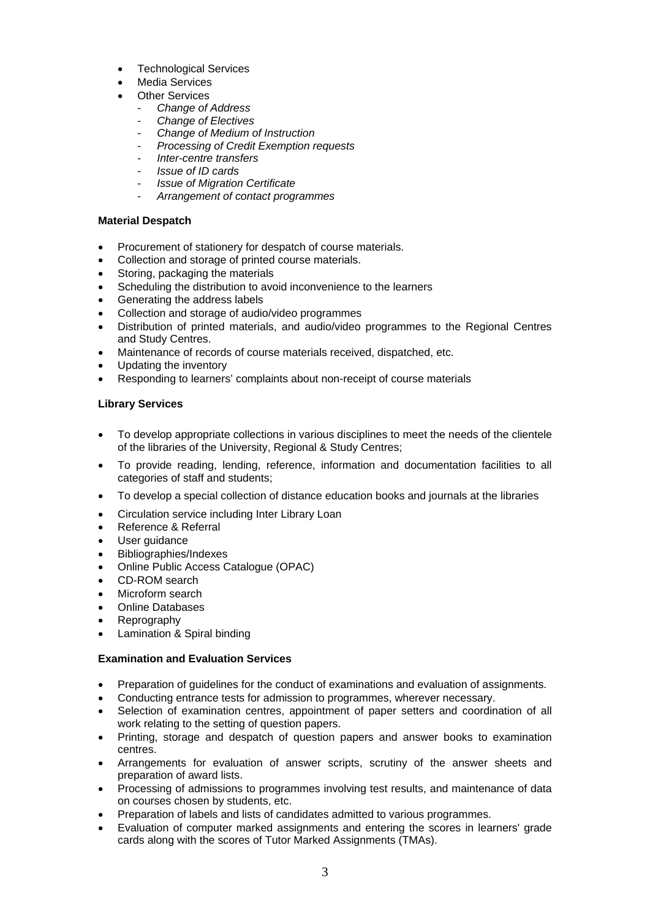- **Technological Services**
- Media Services
- **Other Services** 
	- *Change of Address*
	- *Change of Electives*
	- *Change of Medium of Instruction*
	- *Processing of Credit Exemption requests*
	- *Inter-centre transfers*
	- *Issue of ID cards*
	- *Issue of Migration Certificate*
	- *Arrangement of contact programmes*

### **Material Despatch**

- Procurement of stationery for despatch of course materials.
- Collection and storage of printed course materials.
- Storing, packaging the materials
- Scheduling the distribution to avoid inconvenience to the learners
- Generating the address labels
- Collection and storage of audio/video programmes
- Distribution of printed materials, and audio/video programmes to the Regional Centres and Study Centres.
- Maintenance of records of course materials received, dispatched, etc.
- Updating the inventory
- Responding to learners' complaints about non-receipt of course materials

## **Library Services**

- To develop appropriate collections in various disciplines to meet the needs of the clientele of the libraries of the University, Regional & Study Centres;
- To provide reading, lending, reference, information and documentation facilities to all categories of staff and students;
- To develop a special collection of distance education books and journals at the libraries
- Circulation service including Inter Library Loan
- Reference & Referral
- User quidance
- Bibliographies/Indexes
- Online Public Access Catalogue (OPAC)
- CD-ROM search
- Microform search
- Online Databases
- Reprography
- Lamination & Spiral binding

### **Examination and Evaluation Services**

- Preparation of guidelines for the conduct of examinations and evaluation of assignments.
- Conducting entrance tests for admission to programmes, wherever necessary.
- Selection of examination centres, appointment of paper setters and coordination of all work relating to the setting of question papers.
- Printing, storage and despatch of question papers and answer books to examination centres.
- Arrangements for evaluation of answer scripts, scrutiny of the answer sheets and preparation of award lists.
- Processing of admissions to programmes involving test results, and maintenance of data on courses chosen by students, etc.
- Preparation of labels and lists of candidates admitted to various programmes.
- Evaluation of computer marked assignments and entering the scores in learners' grade cards along with the scores of Tutor Marked Assignments (TMAs).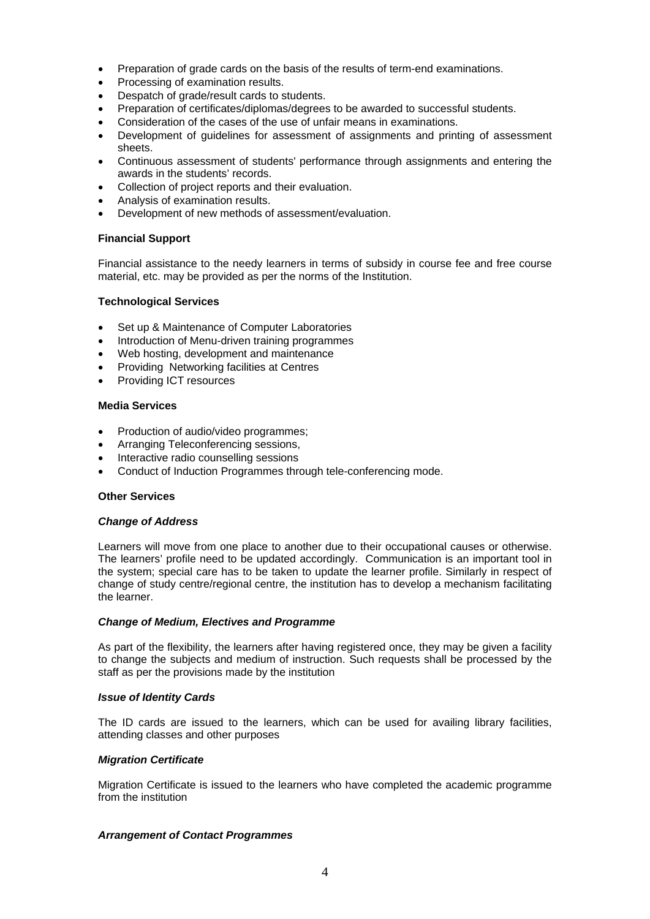- Preparation of grade cards on the basis of the results of term-end examinations.
- Processing of examination results.
- Despatch of grade/result cards to students.
- Preparation of certificates/diplomas/degrees to be awarded to successful students.
- Consideration of the cases of the use of unfair means in examinations.
- Development of guidelines for assessment of assignments and printing of assessment sheets.
- Continuous assessment of students' performance through assignments and entering the awards in the students' records.
- Collection of project reports and their evaluation.
- Analysis of examination results.
- Development of new methods of assessment/evaluation.

### **Financial Support**

Financial assistance to the needy learners in terms of subsidy in course fee and free course material, etc. may be provided as per the norms of the Institution.

#### **Technological Services**

- Set up & Maintenance of Computer Laboratories
- Introduction of Menu-driven training programmes
- Web hosting, development and maintenance
- Providing Networking facilities at Centres
- Providing ICT resources

### **Media Services**

- Production of audio/video programmes;
- Arranging Teleconferencing sessions,
- Interactive radio counselling sessions
- Conduct of Induction Programmes through tele-conferencing mode.

#### **Other Services**

#### *Change of Address*

Learners will move from one place to another due to their occupational causes or otherwise. The learners' profile need to be updated accordingly. Communication is an important tool in the system; special care has to be taken to update the learner profile. Similarly in respect of change of study centre/regional centre, the institution has to develop a mechanism facilitating the learner.

#### *Change of Medium, Electives and Programme*

As part of the flexibility, the learners after having registered once, they may be given a facility to change the subjects and medium of instruction. Such requests shall be processed by the staff as per the provisions made by the institution

#### *Issue of Identity Cards*

The ID cards are issued to the learners, which can be used for availing library facilities, attending classes and other purposes

#### *Migration Certificate*

Migration Certificate is issued to the learners who have completed the academic programme from the institution

#### *Arrangement of Contact Programmes*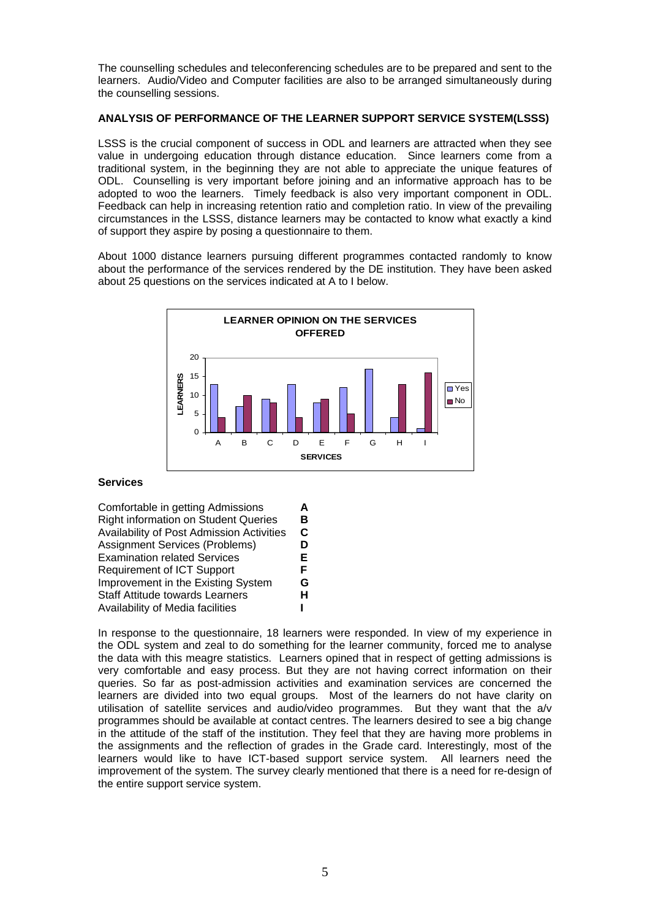The counselling schedules and teleconferencing schedules are to be prepared and sent to the learners. Audio/Video and Computer facilities are also to be arranged simultaneously during the counselling sessions.

### **ANALYSIS OF PERFORMANCE OF THE LEARNER SUPPORT SERVICE SYSTEM(LSSS)**

LSSS is the crucial component of success in ODL and learners are attracted when they see value in undergoing education through distance education. Since learners come from a traditional system, in the beginning they are not able to appreciate the unique features of ODL. Counselling is very important before joining and an informative approach has to be adopted to woo the learners. Timely feedback is also very important component in ODL. Feedback can help in increasing retention ratio and completion ratio. In view of the prevailing circumstances in the LSSS, distance learners may be contacted to know what exactly a kind of support they aspire by posing a questionnaire to them.

About 1000 distance learners pursuing different programmes contacted randomly to know about the performance of the services rendered by the DE institution. They have been asked about 25 questions on the services indicated at A to I below.



### **Services**

Comfortable in getting Admissions **A**  Right information on Student Queries **B Availability of Post Admission Activities** Assignment Services (Problems) **D**  Examination related Services **E**  Requirement of ICT Support **F** Improvement in the Existing System **G**  Staff Attitude towards Learners **H**  Availability of Media facilities **I** 

In response to the questionnaire, 18 learners were responded. In view of my experience in the ODL system and zeal to do something for the learner community, forced me to analyse the data with this meagre statistics. Learners opined that in respect of getting admissions is very comfortable and easy process. But they are not having correct information on their queries. So far as post-admission activities and examination services are concerned the learners are divided into two equal groups. Most of the learners do not have clarity on utilisation of satellite services and audio/video programmes. But they want that the a/v programmes should be available at contact centres. The learners desired to see a big change in the attitude of the staff of the institution. They feel that they are having more problems in the assignments and the reflection of grades in the Grade card. Interestingly, most of the learners would like to have ICT-based support service system. All learners need the improvement of the system. The survey clearly mentioned that there is a need for re-design of the entire support service system.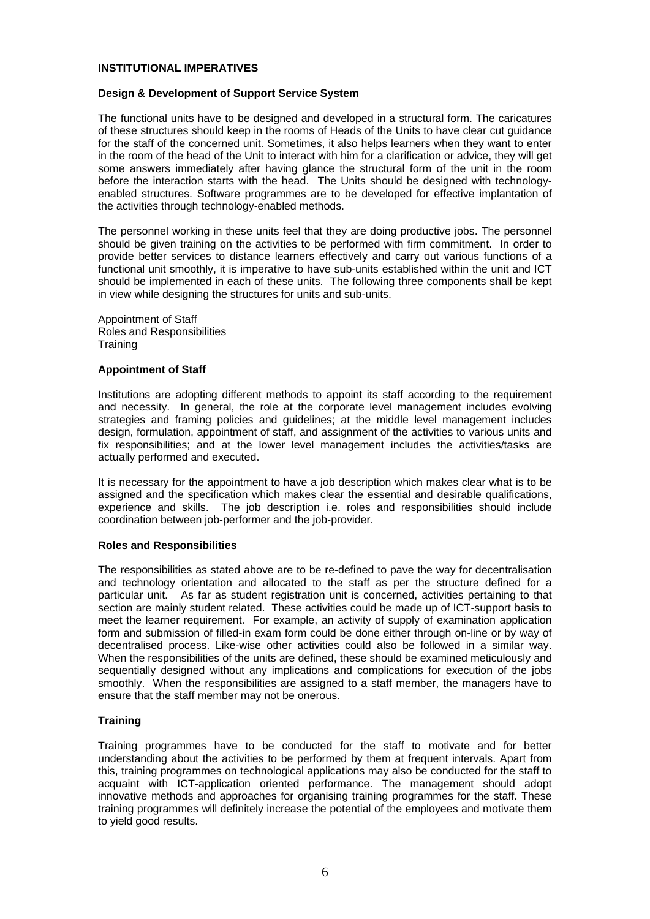### **INSTITUTIONAL IMPERATIVES**

#### **Design & Development of Support Service System**

The functional units have to be designed and developed in a structural form. The caricatures of these structures should keep in the rooms of Heads of the Units to have clear cut guidance for the staff of the concerned unit. Sometimes, it also helps learners when they want to enter in the room of the head of the Unit to interact with him for a clarification or advice, they will get some answers immediately after having glance the structural form of the unit in the room before the interaction starts with the head. The Units should be designed with technologyenabled structures. Software programmes are to be developed for effective implantation of the activities through technology-enabled methods.

The personnel working in these units feel that they are doing productive jobs. The personnel should be given training on the activities to be performed with firm commitment. In order to provide better services to distance learners effectively and carry out various functions of a functional unit smoothly, it is imperative to have sub-units established within the unit and ICT should be implemented in each of these units. The following three components shall be kept in view while designing the structures for units and sub-units.

Appointment of Staff Roles and Responsibilities **Training** 

#### **Appointment of Staff**

Institutions are adopting different methods to appoint its staff according to the requirement and necessity. In general, the role at the corporate level management includes evolving strategies and framing policies and guidelines; at the middle level management includes design, formulation, appointment of staff, and assignment of the activities to various units and fix responsibilities; and at the lower level management includes the activities/tasks are actually performed and executed.

It is necessary for the appointment to have a job description which makes clear what is to be assigned and the specification which makes clear the essential and desirable qualifications, experience and skills. The job description i.e. roles and responsibilities should include coordination between job-performer and the job-provider.

#### **Roles and Responsibilities**

The responsibilities as stated above are to be re-defined to pave the way for decentralisation and technology orientation and allocated to the staff as per the structure defined for a particular unit. As far as student registration unit is concerned, activities pertaining to that As far as student registration unit is concerned, activities pertaining to that section are mainly student related. These activities could be made up of ICT-support basis to meet the learner requirement. For example, an activity of supply of examination application form and submission of filled-in exam form could be done either through on-line or by way of decentralised process. Like-wise other activities could also be followed in a similar way. When the responsibilities of the units are defined, these should be examined meticulously and sequentially designed without any implications and complications for execution of the jobs smoothly. When the responsibilities are assigned to a staff member, the managers have to ensure that the staff member may not be onerous.

### **Training**

Training programmes have to be conducted for the staff to motivate and for better understanding about the activities to be performed by them at frequent intervals. Apart from this, training programmes on technological applications may also be conducted for the staff to acquaint with ICT-application oriented performance. The management should adopt innovative methods and approaches for organising training programmes for the staff. These training programmes will definitely increase the potential of the employees and motivate them to yield good results.